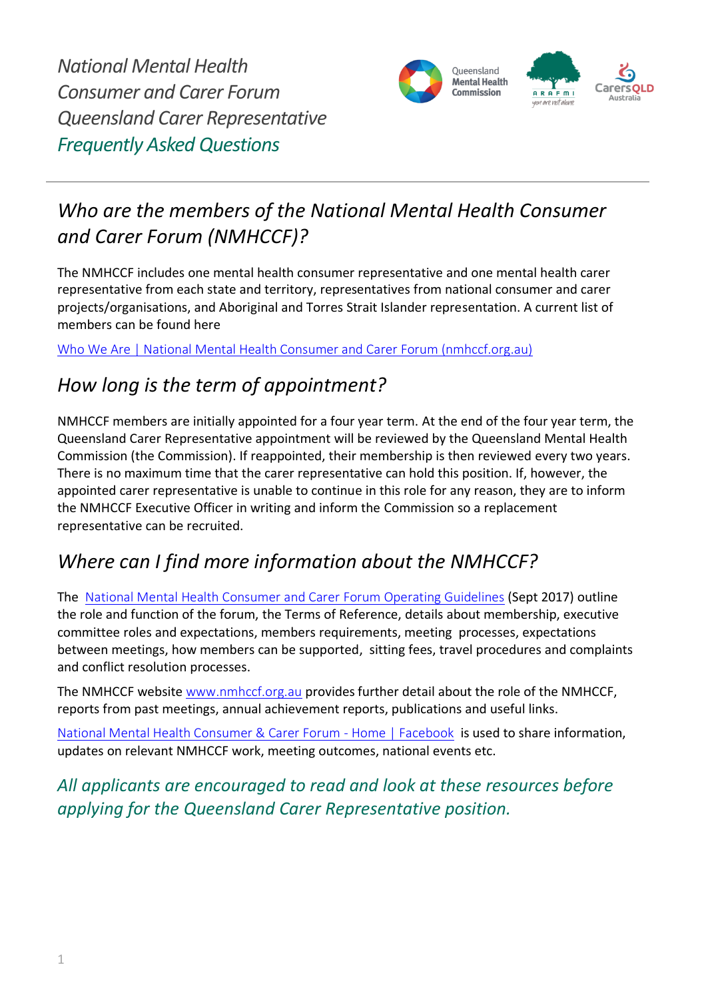

# *Who are the members of the National Mental Health Consumer and Carer Forum (NMHCCF)?*

The NMHCCF includes one mental health consumer representative and one mental health carer representative from each state and territory, representatives from national consumer and carer projects/organisations, and Aboriginal and Torres Strait Islander representation. A current list of members can be found here

[Who We Are | National Mental Health Consumer and Carer Forum \(nmhccf.org.au\)](https://nmhccf.org.au/content/who-we-are)

# *How long is the term of appointment?*

NMHCCF members are initially appointed for a four year term. At the end of the four year term, the Queensland Carer Representative appointment will be reviewed by the Queensland Mental Health Commission (the Commission). If reappointed, their membership is then reviewed every two years. There is no maximum time that the carer representative can hold this position. If, however, the appointed carer representative is unable to continue in this role for any reason, they are to inform the NMHCCF Executive Officer in writing and inform the Commission so a replacement representative can be recruited.

# *Where can I find more information about the NMHCCF?*

The [National Mental Health Consumer and Carer Forum](https://nmhccf.org.au/sites/default/files/docs/operating_guidelines_september_2017.pdf) Operating Guidelines (Sept 2017) outline the role and function of the forum, the Terms of Reference, details about membership, executive committee roles and expectations, members requirements, meeting processes, expectations between meetings, how members can be supported, sitting fees, travel procedures and complaints and conflict resolution processes.

The NMHCCF website [www.nmhccf.org.au](http://www.nmhccf.org.au/) provides further detail about the role of the NMHCCF, reports from past meetings, annual achievement reports, publications and useful links.

[National Mental Health Consumer & Carer Forum -](https://www.facebook.com/NMHCCF/) Home | Facebook is used to share information, updates on relevant NMHCCF work, meeting outcomes, national events etc.

*All applicants are encouraged to read and look at these resources before applying for the Queensland Carer Representative position.*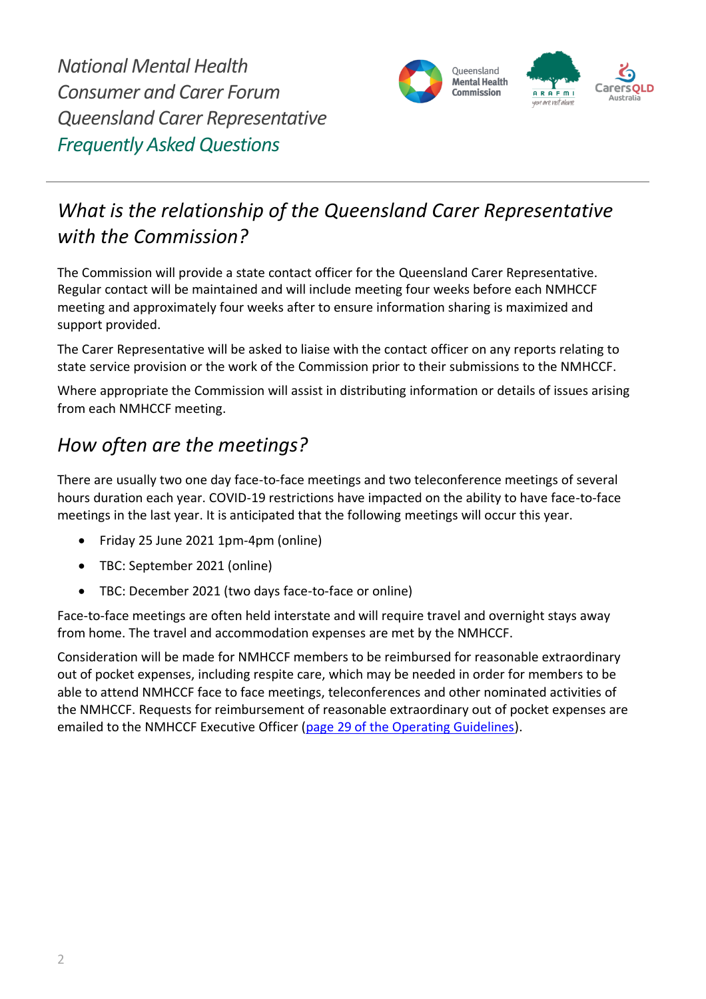

# *What is the relationship of the Queensland Carer Representative with the Commission?*

The Commission will provide a state contact officer for the Queensland Carer Representative. Regular contact will be maintained and will include meeting four weeks before each NMHCCF meeting and approximately four weeks after to ensure information sharing is maximized and support provided.

The Carer Representative will be asked to liaise with the contact officer on any reports relating to state service provision or the work of the Commission prior to their submissions to the NMHCCF.

Where appropriate the Commission will assist in distributing information or details of issues arising from each NMHCCF meeting.

### *How often are the meetings?*

There are usually two one day face-to-face meetings and two teleconference meetings of several hours duration each year. COVID-19 restrictions have impacted on the ability to have face-to-face meetings in the last year. It is anticipated that the following meetings will occur this year.

- Friday 25 June 2021 1pm-4pm (online)
- TBC: September 2021 (online)
- TBC: December 2021 (two days face-to-face or online)

Face-to-face meetings are often held interstate and will require travel and overnight stays away from home. The travel and accommodation expenses are met by the NMHCCF.

Consideration will be made for NMHCCF members to be reimbursed for reasonable extraordinary out of pocket expenses, including respite care, which may be needed in order for members to be able to attend NMHCCF face to face meetings, teleconferences and other nominated activities of the NMHCCF. Requests for reimbursement of reasonable extraordinary out of pocket expenses are emailed to the NMHCCF Executive Officer [\(page 29 of the Operating Guidelines\)](https://nmhccf.org.au/sites/default/files/docs/operating_guidelines_september_2017.pdf).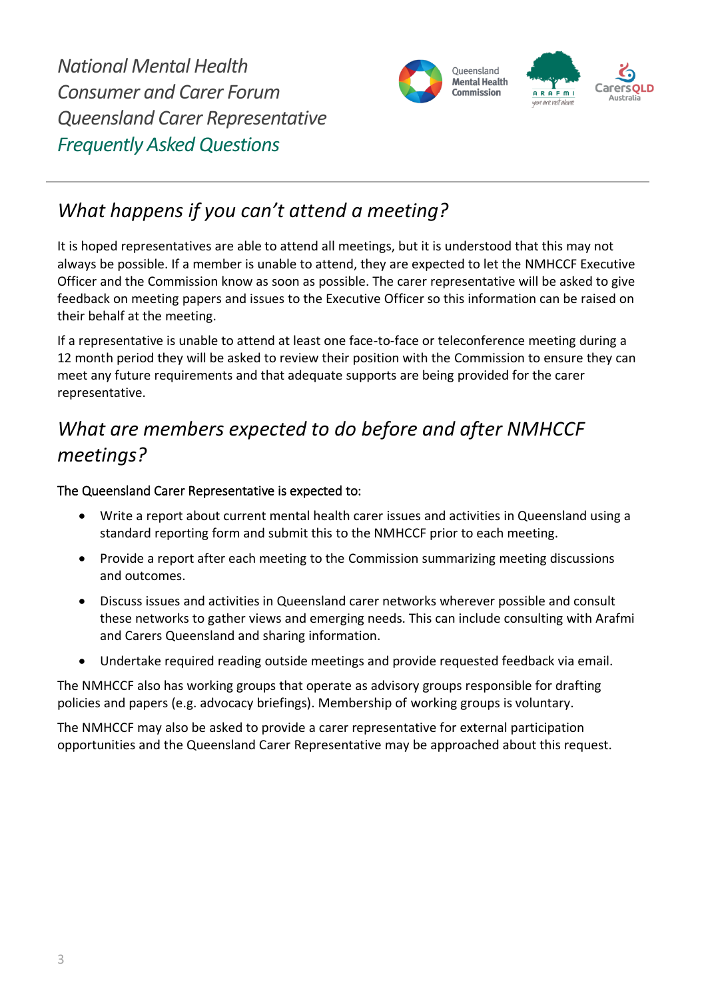

## *What happens if you can't attend a meeting?*

It is hoped representatives are able to attend all meetings, but it is understood that this may not always be possible. If a member is unable to attend, they are expected to let the NMHCCF Executive Officer and the Commission know as soon as possible. The carer representative will be asked to give feedback on meeting papers and issues to the Executive Officer so this information can be raised on their behalf at the meeting.

If a representative is unable to attend at least one face-to-face or teleconference meeting during a 12 month period they will be asked to review their position with the Commission to ensure they can meet any future requirements and that adequate supports are being provided for the carer representative.

# *What are members expected to do before and after NMHCCF meetings?*

#### The Queensland Carer Representative is expected to:

- Write a report about current mental health carer issues and activities in Queensland using a standard reporting form and submit this to the NMHCCF prior to each meeting.
- Provide a report after each meeting to the Commission summarizing meeting discussions and outcomes.
- Discuss issues and activities in Queensland carer networks wherever possible and consult these networks to gather views and emerging needs. This can include consulting with Arafmi and Carers Queensland and sharing information.
- Undertake required reading outside meetings and provide requested feedback via email.

The NMHCCF also has working groups that operate as advisory groups responsible for drafting policies and papers (e.g. advocacy briefings). Membership of working groups is voluntary.

The NMHCCF may also be asked to provide a carer representative for external participation opportunities and the Queensland Carer Representative may be approached about this request.